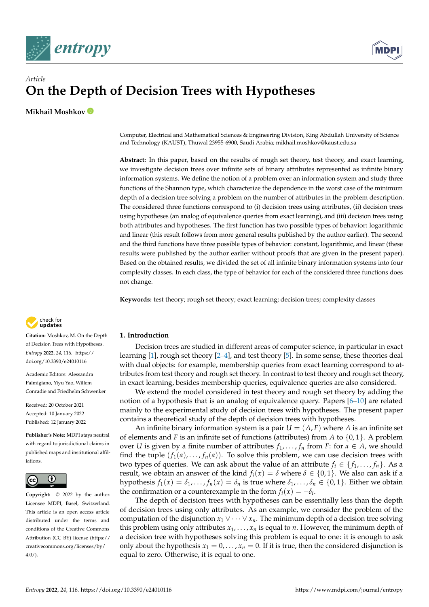



# *Article* **On the Depth of Decision Trees with Hypotheses**

**Mikhail Moshkov**

Computer, Electrical and Mathematical Sciences & Engineering Division, King Abdullah University of Science and Technology (KAUST), Thuwal 23955-6900, Saudi Arabia; mikhail.moshkov@kaust.edu.sa

**Abstract:** In this paper, based on the results of rough set theory, test theory, and exact learning, we investigate decision trees over infinite sets of binary attributes represented as infinite binary information systems. We define the notion of a problem over an information system and study three functions of the Shannon type, which characterize the dependence in the worst case of the minimum depth of a decision tree solving a problem on the number of attributes in the problem description. The considered three functions correspond to (i) decision trees using attributes, (ii) decision trees using hypotheses (an analog of equivalence queries from exact learning), and (iii) decision trees using both attributes and hypotheses. The first function has two possible types of behavior: logarithmic and linear (this result follows from more general results published by the author earlier). The second and the third functions have three possible types of behavior: constant, logarithmic, and linear (these results were published by the author earlier without proofs that are given in the present paper). Based on the obtained results, we divided the set of all infinite binary information systems into four complexity classes. In each class, the type of behavior for each of the considered three functions does not change.

**Keywords:** test theory; rough set theory; exact learning; decision trees; complexity classes



**Citation:** Moshkov, M. On the Depth of Decision Trees with Hypotheses. *Entropy* **2022**, *24*, 116. [https://](https://doi.org/10.3390/e24010116) [doi.org/10.3390/e24010116](https://doi.org/10.3390/e24010116)

Academic Editors: Alessandra Palmigiano, Yiyu Yao, Willem Conradie and Friedhelm Schwenker

Received: 20 October 2021 Accepted: 10 January 2022 Published: 12 January 2022

**Publisher's Note:** MDPI stays neutral with regard to jurisdictional claims in published maps and institutional affiliations.



**Copyright:** © 2022 by the author. Licensee MDPI, Basel, Switzerland. This article is an open access article distributed under the terms and conditions of the Creative Commons Attribution (CC BY) license [\(https://](https://creativecommons.org/licenses/by/4.0/) [creativecommons.org/licenses/by/](https://creativecommons.org/licenses/by/4.0/)  $4.0/$ ).

# **1. Introduction**

Decision trees are studied in different areas of computer science, in particular in exact learning  $[1]$ , rough set theory  $[2-4]$  $[2-4]$ , and test theory  $[5]$ . In some sense, these theories deal with dual objects: for example, membership queries from exact learning correspond to attributes from test theory and rough set theory. In contrast to test theory and rough set theory, in exact learning, besides membership queries, equivalence queries are also considered.

We extend the model considered in test theory and rough set theory by adding the notion of a hypothesis that is an analog of equivalence query. Papers [\[6](#page-10-4)[–10\]](#page-10-5) are related mainly to the experimental study of decision trees with hypotheses. The present paper contains a theoretical study of the depth of decision trees with hypotheses.

An infinite binary information system is a pair  $U = (A, F)$  where A is an infinite set of elements and *F* is an infinite set of functions (attributes) from *A* to {0, 1}. A problem over *U* is given by a finite number of attributes  $f_1, \ldots, f_n$  from *F*: for  $a \in A$ , we should find the tuple  $(f_1(a),..., f_n(a))$ . To solve this problem, we can use decision trees with two types of queries. We can ask about the value of an attribute  $f_i \in \{f_1, \ldots, f_n\}$ . As a result, we obtain an answer of the kind  $f_i(x) = \delta$  where  $\delta \in \{0, 1\}$ . We also can ask if a hypothesis  $f_1(x) = \delta_1, \ldots, f_n(x) = \delta_n$  is true where  $\delta_1, \ldots, \delta_n \in \{0, 1\}$ . Either we obtain the confirmation or a counterexample in the form  $f_i(x) = \neg \delta_i$ .

The depth of decision trees with hypotheses can be essentially less than the depth of decision trees using only attributes. As an example, we consider the problem of the computation of the disjunction  $x_1 \vee \cdots \vee x_n$ . The minimum depth of a decision tree solving this problem using only attributes  $x_1, \ldots, x_n$  is equal to *n*. However, the minimum depth of a decision tree with hypotheses solving this problem is equal to one: it is enough to ask only about the hypothesis  $x_1 = 0, \ldots, x_n = 0$ . If it is true, then the considered disjunction is equal to zero. Otherwise, it is equal to one.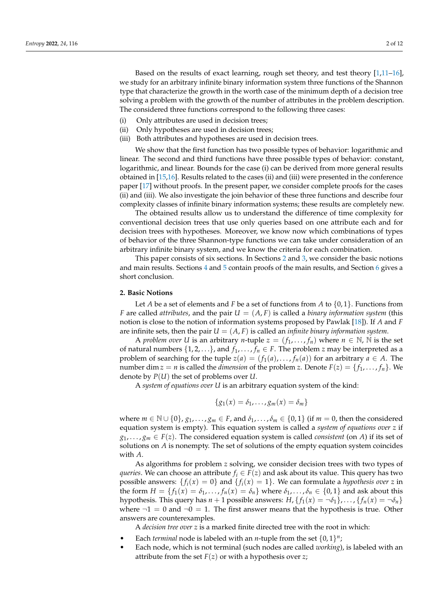Based on the results of exact learning, rough set theory, and test theory [\[1,](#page-10-0)[11–](#page-10-6)[16\]](#page-11-0), we study for an arbitrary infinite binary information system three functions of the Shannon type that characterize the growth in the worth case of the minimum depth of a decision tree solving a problem with the growth of the number of attributes in the problem description. The considered three functions correspond to the following three cases:

- (i) Only attributes are used in decision trees;
- (ii) Only hypotheses are used in decision trees;
- (iii) Both attributes and hypotheses are used in decision trees.

We show that the first function has two possible types of behavior: logarithmic and linear. The second and third functions have three possible types of behavior: constant, logarithmic, and linear. Bounds for the case (i) can be derived from more general results obtained in [\[15](#page-10-7)[,16\]](#page-11-0). Results related to the cases (ii) and (iii) were presented in the conference paper [\[17\]](#page-11-1) without proofs. In the present paper, we consider complete proofs for the cases (ii) and (iii). We also investigate the join behavior of these three functions and describe four complexity classes of infinite binary information systems; these results are completely new.

The obtained results allow us to understand the difference of time complexity for conventional decision trees that use only queries based on one attribute each and for decision trees with hypotheses. Moreover, we know now which combinations of types of behavior of the three Shannon-type functions we can take under consideration of an arbitrary infinite binary system, and we know the criteria for each combination.

This paper consists of six sections. In Sections [2](#page-1-0) and [3,](#page-2-0) we consider the basic notions and main results. Sections [4](#page-4-0) and [5](#page-7-0) contain proofs of the main results, and Section [6](#page-9-0) gives a short conclusion.

#### <span id="page-1-0"></span>**2. Basic Notions**

Let *A* be a set of elements and *F* be a set of functions from *A* to {0, 1}. Functions from *F* are called *attributes*, and the pair  $U = (A, F)$  is called a *binary information system* (this notion is close to the notion of information systems proposed by Pawlak [\[18\]](#page-11-2)). If *A* and *F* are infinite sets, then the pair  $U = (A, F)$  is called an *infinite binary information system*.

A *problem over U* is an arbitrary *n*-tuple  $z = (f_1, \ldots, f_n)$  where  $n \in \mathbb{N}$ ,  $\mathbb N$  is the set of natural numbers  $\{1, 2, \ldots\}$ , and  $f_1, \ldots, f_n \in F$ . The problem *z* may be interpreted as a problem of searching for the tuple  $z(a) = (f_1(a), \ldots, f_n(a))$  for an arbitrary  $a \in A$ . The number dim  $z = n$  is called the *dimension* of the problem *z*. Denote  $F(z) = \{f_1, \ldots, f_n\}$ . We denote by *P*(*U*) the set of problems over *U*.

A *system of equations over U* is an arbitrary equation system of the kind:

$$
\{g_1(x)=\delta_1,\ldots,g_m(x)=\delta_m\}
$$

where  $m \in \mathbb{N} \cup \{0\}$ ,  $g_1, \ldots, g_m \in F$ , and  $\delta_1, \ldots, \delta_m \in \{0, 1\}$  (if  $m = 0$ , then the considered equation system is empty). This equation system is called a *system of equations over z* if  $g_1, \ldots, g_m \in F(z)$ . The considered equation system is called *consistent* (on *A*) if its set of solutions on *A* is nonempty. The set of solutions of the empty equation system coincides with *A*.

As algorithms for problem *z* solving, we consider decision trees with two types of *queries*. We can choose an attribute  $f_i \in F(z)$  and ask about its value. This query has two possible answers:  $\{f_i(x) = 0\}$  and  $\{f_i(x) = 1\}$ . We can formulate a *hypothesis over z* in the form  $H = \{f_1(x) = \delta_1, \ldots, f_n(x) = \delta_n\}$  where  $\delta_1, \ldots, \delta_n \in \{0, 1\}$  and ask about this hypothesis. This query has  $n + 1$  possible answers:  $H$ ,  $\{f_1(x) = \neg \delta_1\}$ , ...,  $\{f_n(x) = \neg \delta_n\}$ where  $\neg 1 = 0$  and  $\neg 0 = 1$ . The first answer means that the hypothesis is true. Other answers are counterexamples.

A *decision tree over z* is a marked finite directed tree with the root in which:

- Each *terminal* node is labeled with an *n*-tuple from the set  $\{0, 1\}^n$ ;
- Each node, which is not terminal (such nodes are called *working*), is labeled with an attribute from the set  $F(z)$  or with a hypothesis over  $z$ ;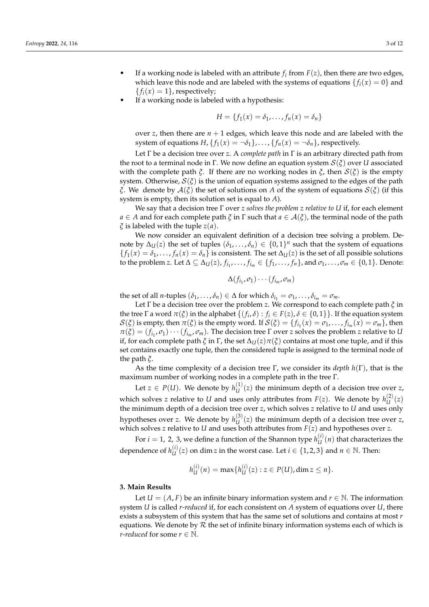- If a working node is labeled with an attribute  $f_i$  from  $F(z)$ , then there are two edges, which leave this node and are labeled with the systems of equations  ${f_i(x) = 0}$  and  ${f_i(x) = 1}$ , respectively;
- If a working node is labeled with a hypothesis:

$$
H = \{f_1(x) = \delta_1, \ldots, f_n(x) = \delta_n\}
$$

over *z*, then there are  $n + 1$  edges, which leave this node and are labeled with the system of equations  $H$ ,  $\{f_1(x) = \neg \delta_1\}$ , ...,  $\{f_n(x) = \neg \delta_n\}$ , respectively.

Let Γ be a decision tree over *z*. A *complete path* in Γ is an arbitrary directed path from the root to a terminal node in Γ. We now define an equation system S(*ξ*) over *U* associated with the complete path  $\xi$ . If there are no working nodes in  $\xi$ , then  $S(\xi)$  is the empty system. Otherwise,  $S(\xi)$  is the union of equation systems assigned to the edges of the path *ξ*. We denote by A(*ξ*) the set of solutions on *A* of the system of equations S(*ξ*) (if this system is empty, then its solution set is equal to *A*).

We say that a decision tree Γ over *z solves the problem z relative to U* if, for each element *a* ∈ *A* and for each complete path  $\zeta$  in  $\Gamma$  such that  $a \in \mathcal{A}(\zeta)$ , the terminal node of the path *ξ* is labeled with the tuple *z*(*a*).

We now consider an equivalent definition of a decision tree solving a problem. Denote by  $\Delta_U(z)$  the set of tuples  $(\delta_1, \ldots, \delta_n) \in \{0,1\}^n$  such that the system of equations  ${f_1(x) = \delta_1, \ldots, f_n(x) = \delta_n}$  is consistent. The set  $\Delta_U(z)$  is the set of all possible solutions to the problem *z*. Let  $\Delta \subseteq \Delta_U(z)$ ,  $f_{i_1}, \ldots, f_{i_m} \in \{f_1, \ldots, f_n\}$ , and  $\sigma_1, \ldots, \sigma_m \in \{0, 1\}$ . Denote:

$$
\Delta(f_{i_1},\sigma_1)\cdots(f_{i_m},\sigma_m)
$$

the set of all *n*-tuples  $(\delta_1, \ldots, \delta_n) \in \Delta$  for which  $\delta_{i_1} = \sigma_1, \ldots, \delta_{i_m} = \sigma_m$ .

Let Γ be a decision tree over the problem *z*. We correspond to each complete path *ξ* in the tree  $\Gamma$  a word  $\pi(\xi)$  in the alphabet  $\{(f_i, \delta) : f_i \in F(z), \delta \in \{0,1\}\}\.$  If the equation system  $S(\xi)$  is empty, then  $\pi(\xi)$  is the empty word. If  $S(\xi) = \{f_{i_1}(x) = \sigma_1, \ldots, f_{i_m}(x) = \sigma_m\}$ , then  $\pi(\xi) = (f_{i_1}, \sigma_1) \cdots (f_{i_m}, \sigma_m)$ . The decision tree *Γ* over *z* solves the problem *z* relative to *U* if, for each complete path  $\zeta$  in  $\Gamma$ , the set  $\Delta_U(z)\pi(\zeta)$  contains at most one tuple, and if this set contains exactly one tuple, then the considered tuple is assigned to the terminal node of the path *ξ*.

As the time complexity of a decision tree Γ, we consider its *depth h*(Γ), that is the maximum number of working nodes in a complete path in the tree Γ.

Let  $z \in P(U)$ . We denote by  $h_{U}^{(1)}$  $U_U^{(1)}(z)$  the minimum depth of a decision tree over *z*, which solves *z* relative to *U* and uses only attributes from  $F(z)$ . We denote by  $h_{IJ}^{(2)}$  $U^{(2)}(z)$ the minimum depth of a decision tree over *z*, which solves *z* relative to *U* and uses only hypotheses over *z*. We denote by *h* (3)  $U_U^{(3)}(z)$  the minimum depth of a decision tree over *z*, which solves *z* relative to *U* and uses both attributes from  $F(z)$  and hypotheses over *z*.

For  $i = 1$ , 2, 3, we define a function of the Shannon type  $h_{II}^{(i)}$  $U^{(1)}(n)$  that characterizes the dependence of  $h_{II}^{(i)}$  $U_{U}^{(i)}(z)$  on dim *z* in the worst case. Let *i* ∈ {1, 2, 3} and *n* ∈ N. Then:

$$
h_{U}^{(i)}(n) = \max\{h_{U}^{(i)}(z) : z \in P(U), \dim z \leq n\}.
$$

#### <span id="page-2-0"></span>**3. Main Results**

Let  $U = (A, F)$  be an infinite binary information system and  $r \in \mathbb{N}$ . The information system *U* is called *r*-*reduced* if, for each consistent on *A* system of equations over *U*, there exists a subsystem of this system that has the same set of solutions and contains at most *r* equations. We denote by  $\mathcal R$  the set of infinite binary information systems each of which is *r*-*reduced* for some  $r \in \mathbb{N}$ .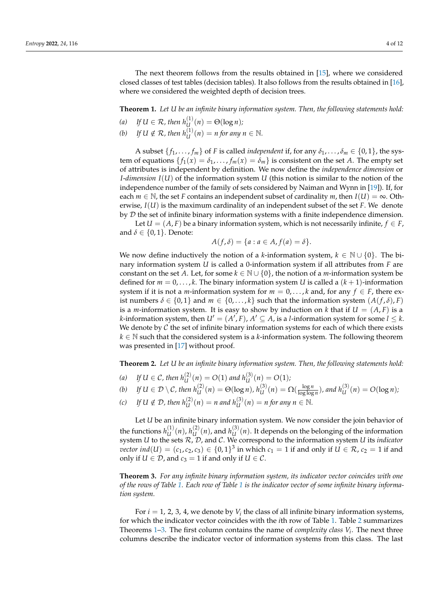The next theorem follows from the results obtained in [\[15\]](#page-10-7), where we considered closed classes of test tables (decision tables). It also follows from the results obtained in [\[16\]](#page-11-0), where we considered the weighted depth of decision trees.

<span id="page-3-0"></span>**Theorem 1.** *Let U be an infinite binary information system. Then, the following statements hold:*

- (a) If  $U \in \mathcal{R}$ , then  $h_{U}^{(1)}(n) = \Theta(\log n)$ ;
- (b) If  $U \notin \mathcal{R}$ , then  $h_U^{(1)}(n) = n$  for any  $n \in \mathbb{N}$ .

A subset  $\{f_1, \ldots, f_m\}$  of *F* is called *independent* if, for any  $\delta_1, \ldots, \delta_m \in \{0, 1\}$ , the system of equations  $\{f_1(x) = \delta_1, \ldots, f_m(x) = \delta_m\}$  is consistent on the set *A*. The empty set of attributes is independent by definition. We now define the *independence dimension* or *I*-*dimension I*(*U*) of the information system *U* (this notion is similar to the notion of the independence number of the family of sets considered by Naiman and Wynn in [\[19\]](#page-11-3)). If, for each  $m \in \mathbb{N}$ , the set *F* contains an independent subset of cardinality *m*, then  $I(U) = \infty$ . Otherwise, *I*(*U*) is the maximum cardinality of an independent subset of the set *F*. We denote by  $D$  the set of infinite binary information systems with a finite independence dimension.

Let  $U = (A, F)$  be a binary information system, which is not necessarily infinite,  $f \in F$ , and  $\delta \in \{0,1\}$ . Denote:

$$
A(f,\delta) = \{a : a \in A, f(a) = \delta\}.
$$

We now define inductively the notion of a *k*-information system,  $k \in \mathbb{N} \cup \{0\}$ . The binary information system *U* is called a 0-information system if all attributes from *F* are constant on the set *A*. Let, for some  $k \in \mathbb{N} \cup \{0\}$ , the notion of a *m*-information system be defined for  $m = 0, \ldots, k$ . The binary information system U is called a  $(k + 1)$ -information system if it is not a *m*-information system for  $m = 0, \ldots, k$  and, for any  $f \in F$ , there exist numbers  $\delta \in \{0,1\}$  and  $m \in \{0,\ldots,k\}$  such that the information system  $(A(f,\delta),F)$ is a *m*-information system. It is easy to show by induction on *k* that if  $U = (A, F)$  is a *k*-information system, then  $U' = (A', F)$ ,  $A' \subseteq A$ , is a *l*-information system for some  $l \leq k$ . We denote by  $C$  the set of infinite binary information systems for each of which there exists *k* ∈ N such that the considered system is a *k*-information system. The following theorem was presented in [\[17\]](#page-11-1) without proof.

<span id="page-3-2"></span>**Theorem 2.** *Let U be an infinite binary information system. Then, the following statements hold:*

- (a) If  $U \in \mathcal{C}$ , then  $h_U^{(2)}(n) = O(1)$  and  $h_U^{(3)}(n) = O(1)$ ;
- (b) If  $U \in \mathcal{D} \setminus \mathcal{C}$ , then  $h_U^{(2)}(n) = \Theta(\log n)$ ,  $h_U^{(3)}(n) = \Omega(\frac{\log n}{\log \log n})$  $\frac{\log n}{\log \log n}$ ), and  $h_U^{(3)}(n) = O(\log n)$ ;
- *(c) If U* ∉ *D*, *then*  $h_U^{(2)}(n) = n$  *and*  $h_U^{(3)}(n) = n$  *for any*  $n \in \mathbb{N}$ *.*

Let *U* be an infinite binary information system. We now consider the join behavior of the functions  $h_{II}^{(1)}$  $u^{(1)}(n)$ ,  $h^{(2)}(u)$  $\binom{2}{U}(n)$ , and  $h^{(3)}(U)$  $U_U^{(5)}(n)$ . It depends on the belonging of the information system *U* to the sets R, D, and C. We correspond to the information system *U* its *indicator*  $\mathit{vector}\,\mathit{ind}(U) = (c_1, c_2, c_3) \in \{0, 1\}^3$  in which  $c_1 = 1$  if and only if  $U \in \mathcal{R}$ ,  $c_2 = 1$  if and only if  $U \in \mathcal{D}$ , and  $c_3 = 1$  if and only if  $U \in \mathcal{C}$ .

<span id="page-3-1"></span>**Theorem 3.** *For any infinite binary information system, its indicator vector coincides with one of the rows of Table [1.](#page-4-1) Each row of Table [1](#page-4-1) is the indicator vector of some infinite binary information system.*

For  $i = 1, 2, 3, 4$ , we denote by  $V_i$  the class of all infinite binary information systems, for which the indicator vector coincides with the *i*th row of Table [1.](#page-4-1) Table [2](#page-4-2) summarizes Theorems  $1-3$ . The first column contains the name of *complexity class*  $V_i$ . The next three columns describe the indicator vector of information systems from this class. The last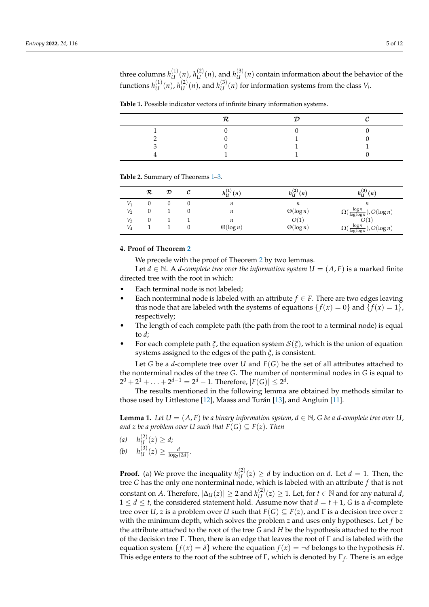three columns  $h_{IJ}^{(1)}$  $u^{(1)}(n)$ ,  $h^{(2)}(U)$  $\binom{2}{U}(n)$ , and  $h^{(3)}(U)$  $U_U^{(5)}(n)$  contain information about the behavior of the functions  $h_{IJ}^{(1)}$  $u^{(1)}(n)$ ,  $h^{(2)}(u)$  $u^{(2)}(n)$ , and  $h^{(3)}(U)$  $U_U^{(3)}(n)$  for information systems from the class  $V_i$ .

<span id="page-4-1"></span>

| <b>Table 1.</b> Possible indicator vectors of infinite binary information systems. |  |
|------------------------------------------------------------------------------------|--|
|------------------------------------------------------------------------------------|--|

<span id="page-4-2"></span>**Table 2.** Summary of Theorems [1–](#page-3-0)[3.](#page-3-1)

|       | R | $\cal D$ | $h_{II}^{(1)}(n)$ | $h_{\mathrm{U}}^{(2)}$<br>(n) | $h_{11}^{(3)}$<br>(n)                                       |
|-------|---|----------|-------------------|-------------------------------|-------------------------------------------------------------|
| $V_1$ |   |          | n                 | п                             | п                                                           |
| V,    |   |          | n                 | $\Theta(\log n)$              | $\log n$<br>$\Omega(\frac{\log n}{\log \log n}), O(\log n)$ |
| $V_3$ |   |          | n                 | O(1)                          | O(1)                                                        |
| $V_4$ |   |          | $\Theta(\log n)$  | $\Theta(\log n)$              | $O(\frac{\log n}{\log \log n}), O(\log n)$                  |

# <span id="page-4-0"></span>**4. Proof of Theorem [2](#page-3-2)**

We precede with the proof of Theorem [2](#page-3-2) by two lemmas.

Let  $d \in \mathbb{N}$ . A *d*-complete tree over the information system  $U = (A, F)$  is a marked finite directed tree with the root in which:

- Each terminal node is not labeled:
- Each nonterminal node is labeled with an attribute  $f \in F$ . There are two edges leaving this node that are labeled with the systems of equations  $\{f(x) = 0\}$  and  $\{f(x) = 1\}$ , respectively;
- The length of each complete path (the path from the root to a terminal node) is equal to *d*;
- For each complete path  $\xi$ , the equation system  $S(\xi)$ , which is the union of equation systems assigned to the edges of the path *ξ*, is consistent.

Let *G* be a *d*-complete tree over *U* and *F*(*G*) be the set of all attributes attached to the nonterminal nodes of the tree *G*. The number of nonterminal nodes in *G* is equal to  $2^0 + 2^1 + \ldots + 2^{d-1} = 2^d - 1$ . Therefore,  $|F(G)| \leq 2^d$ .

The results mentioned in the following lemma are obtained by methods similar to those used by Littlestone [\[12\]](#page-10-8), Maass and Turán [\[13\]](#page-10-9), and Angluin [\[11\]](#page-10-6).

<span id="page-4-3"></span>**Lemma 1.** Let  $U = (A, F)$  be a binary information system,  $d \in \mathbb{N}$ , G be a *d*-complete tree over  $U$ , *and z be a problem over U such that*  $F(G) \subseteq F(z)$ *. Then* 

- (*a*)  $h_{II}^{(2)}$  $U^{(2)}(z) \geq d;$
- (*b*)  $h_{II}^{(3)}$  $\frac{d^{(3)}}{U(z)} \geq \frac{d}{\log_2(2d)}$ .

**Proof.** (a) We prove the inequality  $h_{II}^{(2)}$  $U_U^{(2)}(z) \geq d$  by induction on *d*. Let  $d = 1$ . Then, the tree *G* has the only one nonterminal node, which is labeled with an attribute *f* that is not  $\text{constant}$  on  $A$ . Therefore,  $|\Delta_{U}(z)|\geq 2$  and  $h_{U}^{(2)}$  $U_U^{(2)}(z)$  ≥ 1. Let, for *t* ∈ N and for any natural *d*,  $1 \le d \le t$ , the considered statement hold. Assume now that  $d = t + 1$ , G is a *d*-complete tree over *U*, *z* is a problem over *U* such that  $F(G) \subseteq F(z)$ , and  $\Gamma$  is a decision tree over *z* with the minimum depth, which solves the problem *z* and uses only hypotheses. Let *f* be the attribute attached to the root of the tree *G* and *H* be the hypothesis attached to the root of the decision tree Γ. Then, there is an edge that leaves the root of Γ and is labeled with the equation system  $\{f(x) = \delta\}$  where the equation  $f(x) = \neg \delta$  belongs to the hypothesis *H*. This edge enters to the root of the subtree of Γ, which is denoted by Γ*<sup>f</sup>* . There is an edge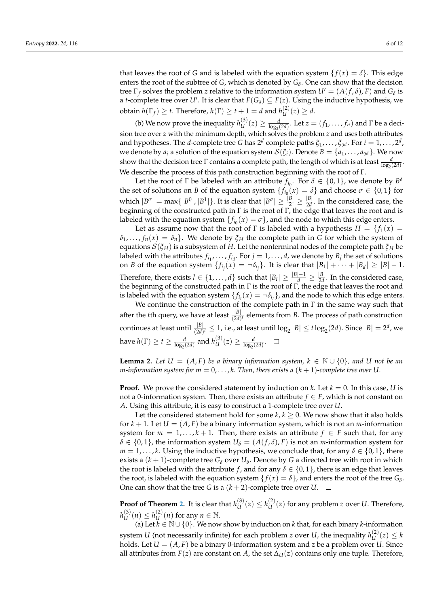that leaves the root of *G* and is labeled with the equation system  $\{f(x) = \delta\}$ . This edge enters the root of the subtree of *G*, which is denoted by  $G_{\delta}$ . One can show that the decision tree  $\Gamma_f$  solves the problem *z* relative to the information system  $U' = (A(f, \delta), F)$  and  $G_{\delta}$  is a *t*-complete tree over *U'*. It is clear that  $F(G_\delta) \subseteq F(z)$ . Using the inductive hypothesis, we  $\text{obtain } h(\Gamma_f) \geq t. \text{ Therefore, } h(\Gamma) \geq t+1 = d \text{ and } h_{U}^{(2)}$  $U^{(2)}(z) \geq d$ .

(b) We now prove the inequality  $h_{IJ}^{(3)}$  $\frac{d}{dU}(z) \ge \frac{d}{\log_2(2d)}$ . Let  $z = (f_1, \ldots, f_n)$  and  $\Gamma$  be a decision tree over *z* with the minimum depth, which solves the problem *z* and uses both attributes and hypotheses. The *d*-complete tree *G* has  $2^d$  complete paths  $\xi_1, \ldots, \xi_{2^d}$ . For  $i = 1, \ldots, 2^d$ , we denote by  $a_i$  a solution of the equation system  $\mathcal{S}(\xi_i)$ . Denote  $B = \{a_1, \ldots, a_{2^d}\}$ . We now show that the decision tree  $\Gamma$  contains a complete path, the length of which is at least  $\frac{d}{\log_2(2d)}$ . We describe the process of this path construction beginning with the root of Γ.

Let the root of  $\Gamma$  be labeled with an attribute  $f_{i_0}$ . For  $\delta \in \{0,1\}$ , we denote by  $B^{\delta}$ the set of solutions on *B* of the equation system  $\{f_{i_0}(x) = \delta\}$  and choose  $\sigma \in \{0,1\}$  for which  $|B^{\sigma}| = \max\{|B^0|, |B^1|\}.$  It is clear that  $|B^{\sigma}| \geq \frac{|B|}{2} \geq \frac{|B|}{2d}$  $\frac{|\mathcal{D}|}{2d}$ . In the considered case, the beginning of the constructed path in  $\Gamma$  is the root of  $\Gamma$ , the edge that leaves the root and is labeled with the equation system  $\{f_{i_0}(x) = \sigma\}$ , and the node to which this edge enters.

Let as assume now that the root of  $\Gamma$  is labeled with a hypothesis  $H = \{f_1(x) =$  $\delta_1, \ldots, f_n(x) = \delta_n$ . We denote by  $\xi_H$  the complete path in *G* for which the system of equations S(*ξH*) is a subsystem of *H*. Let the nonterminal nodes of the complete path *ξ<sup>H</sup>* be labeled with the attributes  $f_{i_1}, \ldots, f_{i_d}$ . For  $j = 1, \ldots, d$ , we denote by  $B_j$  the set of solutions on *B* of the equation system  $\{f_{i_j}(x) = \neg \delta_{i_j}\}$ . It is clear that  $|B_1| + \cdots + |B_d| \geq |B| - 1$ . Therefore, there exists  $l \in \{1, ..., d\}$  such that  $|B_l| \geq \frac{|B|-1}{d} \geq \frac{|B|}{2d}$  $\frac{d^D}{2d}$ . In the considered case, the beginning of the constructed path in  $\Gamma$  is the root of  $\Gamma$ , the edge that leaves the root and is labeled with the equation system  $\{f_{i_l}(x) = \neg \delta_{i_l}\}$ , and the node to which this edge enters.

We continue the construction of the complete path in  $\Gamma$  in the same way such that after the *t*th query, we have at least  $\frac{|B|}{(2d)^t}$  elements from *B*. The process of path construction continues at least until  $\frac{|B|}{(2d)^t} \leq 1$ , i.e., at least until  $\log_2|B| \leq t\log_2(2d)$ . Since  $|B|=2^d$ , we have  $h(\Gamma) \ge t \ge \frac{d}{\log_2(2d)}$  and  $h^{(3)}_U$  $\frac{d}{U}(z) \geq \frac{d}{\log_2(2d)}$ .

<span id="page-5-0"></span>**Lemma 2.** Let  $U = (A, F)$  be a binary information system,  $k \in \mathbb{N} \cup \{0\}$ , and U not be an *m*-information system for  $m = 0, \ldots, k$ . Then, there exists a  $(k + 1)$ -complete tree over U.

**Proof.** We prove the considered statement by induction on *k*. Let  $k = 0$ . In this case, *U* is not a 0-information system. Then, there exists an attribute  $f \in F$ , which is not constant on *A*. Using this attribute, it is easy to construct a 1-complete tree over *U*.

Let the considered statement hold for some  $k, k \geq 0$ . We now show that it also holds for  $k + 1$ . Let  $U = (A, F)$  be a binary information system, which is not an *m*-information system for  $m = 1, \ldots, k + 1$ . Then, there exists an attribute  $f \in F$  such that, for any  $\delta \in \{0,1\}$ , the information system  $U_{\delta} = (A(f,\delta), F)$  is not an *m*-information system for  $m = 1, \ldots, k$ . Using the inductive hypothesis, we conclude that, for any  $\delta \in \{0, 1\}$ , there exists a  $(k + 1)$ -complete tree  $G_{\delta}$  over  $U_{\delta}$ . Denote by  $G$  a directed tree with root in which the root is labeled with the attribute *f*, and for any  $\delta \in \{0,1\}$ , there is an edge that leaves the root, is labeled with the equation system  $\{f(x) = \delta\}$ , and enters the root of the tree  $G_{\delta}$ . One can show that the tree *G* is a  $(k + 2)$ -complete tree over *U*.  $\Box$ 

**Proof of Theorem [2.](#page-3-2)** It is clear that  $h_{II}^{(3)}$  $u^{(3)}(z) \leq h^{(2)}(U)$  $U^{(2)}(z)$  for any problem *z* over *U*. Therefore,  $h_{1I}^{(3)}$  $u^{(3)}(n) \leq h^{(2)}(L)$  $\mathcal{U}^{(2)}(n)$  for any  $n \in \mathbb{N}$ .

(a) Let  $\tilde{k} \in \mathbb{N} \cup \{0\}$ . We now show by induction on *k* that, for each binary *k*-information system *U* (not necessarily infinite) for each problem *z* over *U*, the inequality  $h_{U}^{(2)}$  $L_{U}^{(2)}(z) \leq k$ holds. Let  $U = (A, F)$  be a binary 0-information system and *z* be a problem over *U*. Since all attributes from  $F(z)$  are constant on *A*, the set  $\Delta_U(z)$  contains only one tuple. Therefore,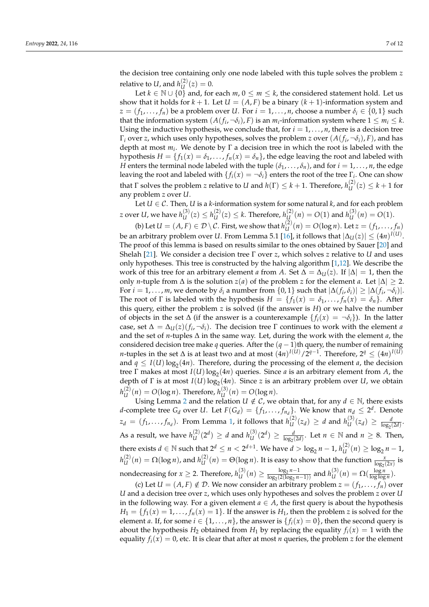the decision tree containing only one node labeled with this tuple solves the problem *z* relative to  $U$ , and  $h_{II}^{(2)}$  $U^{(2)}(z) = 0.$ 

Let *k* ∈ N ∪ {0} and, for each *m*, 0 ≤ *m* ≤ *k*, the considered statement hold. Let us show that it holds for  $k + 1$ . Let  $U = (A, F)$  be a binary  $(k + 1)$ -information system and  $z = (f_1, \ldots, f_n)$  be a problem over *U*. For  $i = 1, \ldots, n$ , choose a number  $\delta_i \in \{0, 1\}$  such that the information system  $(A(f_i, \neg \delta_i), F)$  is an  $m_i$ -information system where  $1 \leq m_i \leq k$ . Using the inductive hypothesis, we conclude that, for  $i = 1, \ldots, n$ , there is a decision tree  $\Gamma_i$  over *z*, which uses only hypotheses, solves the problem *z* over  $(A(f_i, \neg \delta_i), F)$ , and has depth at most *m<sup>i</sup>* . We denote by Γ a decision tree in which the root is labeled with the hypothesis  $H = \{f_1(x) = \delta_1, \ldots, f_n(x) = \delta_n\}$ , the edge leaving the root and labeled with *H* enters the terminal node labeled with the tuple  $(\delta_1, \ldots, \delta_n)$ , and for  $i = 1, \ldots, n$ , the edge leaving the root and labeled with  $\{f_i(x) = \neg \delta_i\}$  enters the root of the tree  $\Gamma_i$ . One can show that  $\Gamma$  solves the problem *z* relative to *U* and  $h(\Gamma) \leq k+1$ . Therefore,  $h_{U}^{(2)}$  $U^{(2)}(z) \leq k + 1$  for any problem *z* over *U*.

Let  $U \in \mathcal{C}$ . Then, *U* is a *k*-information system for some natural *k*, and for each problem *z* over  $U$ , we have  $h_{II}^{(3)}$  $u^{(3)}(z) \leq h^{(2)}(U)$  $U$ <sup>(2)</sup>(z) ≤ *k*. Therefore, *h*<sup>(2)</sup> $U$  $L_{U}^{(2)}(n) = O(1)$  and  $h_{U}^{(3)}$  $U^{(3)}_U(n) = O(1).$ 

(b) Let  $U = (A, F) \in \mathcal{D} \setminus \mathcal{C}$ . First, we show that  $h_{U}^{(2)}$  $U_{\text{U}}^{(2)}(n) = O(\log n)$ . Let  $z = (f_1, \ldots, f_n)$ be an arbitrary problem over  $U.$  From Lemma 5.1 [\[16\]](#page-11-0), it follows that  $|\Delta_{U}(z)|\leq (4n)^{I(U)}.$ The proof of this lemma is based on results similar to the ones obtained by Sauer [\[20\]](#page-11-4) and Shelah [\[21\]](#page-11-5). We consider a decision tree Γ over *z*, which solves *z* relative to *U* and uses only hypotheses. This tree is constructed by the halving algorithm [\[1,](#page-10-0)[12\]](#page-10-8). We describe the work of this tree for an arbitrary element *a* from *A*. Set  $\Delta = \Delta_{U}(z)$ . If  $|\Delta| = 1$ , then the only *n*-tuple from  $\Delta$  is the solution *z*(*a*) of the problem *z* for the element *a*. Let  $|\Delta|$  ≥ 2. For  $i = 1, \ldots, m$ , we denote by  $\delta_i$  a number from  $\{0, 1\}$  such that  $|\Delta(f_i, \delta_i)| \geq |\Delta(f_i, \neg \delta_i)|$ . The root of  $\Gamma$  is labeled with the hypothesis  $H = \{f_1(x) = \delta_1, \ldots, f_n(x) = \delta_n\}$ . After this query, either the problem *z* is solved (if the answer is *H*) or we halve the number of objects in the set  $\Delta$  (if the answer is a counterexample  $\{f_i(x) = \neg \delta_i\}$ ). In the latter case, set  $\Delta = \Delta_U(z)(f_i, \neg \delta_i)$ . The decision tree  $\Gamma$  continues to work with the element *a* and the set of *n*-tuples ∆ in the same way. Let, during the work with the element *a*, the considered decision tree make *q* queries. After the  $(q - 1)$ th query, the number of remaining *n*-tuples in the set ∆ is at least two and at most  $(4n)^{I(U)}/2^{q-1}$ . Therefore, 2<sup>*q*</sup> ≤  $(4n)^{I(U)}$ and  $q \leq I(U) \log_2(4n)$ . Therefore, during the processing of the element *a*, the decision tree  $\Gamma$  makes at most  $I(U) \log_2(4n)$  queries. Since *a* is an arbitrary element from *A*, the depth of Γ is at most  $I(U) \log_2(4n)$ . Since *z* is an arbitrary problem over *U*, we obtain  $h_{1I}^{(2)}$  $U_U^{(2)}(n) = O(\log n)$ . Therefore,  $h_U^{(3)}$  $U^{(3)}(n) = O(\log n).$ 

Using Lemma [2](#page-5-0) and the relation  $U \notin \mathcal{C}$ , we obtain that, for any  $d \in \mathbb{N}$ , there exists *d*-complete tree  $G_d$  over *U*. Let  $F(G_d) = \{f_1, \ldots, f_{n_d}\}$ . We know that  $n_d \leq 2^d$ . Denote  $z_d = (f_1, \ldots, f_{n_d})$  $z_d = (f_1, \ldots, f_{n_d})$  $z_d = (f_1, \ldots, f_{n_d})$ . From Lemma 1, it follows that  $h_U^{(2)}$  $U^{(2)}(z_d) \geq d$  and  $h^{(3)}(U)$  $\frac{d}{U}(z_d) \geq \frac{d}{\log_2(2d)}$ . As a result, we have  $h_{IJ}^{(2)}$  $\binom{2}{U}(2^d) \geq d$  and  $h^{(3)}(U)$  $\frac{d}{dU}(2^d) \ge \frac{d}{\log_2(2d)}$ . Let  $n \in \mathbb{N}$  and  $n \ge 8$ . Then, there exists  $d \in \mathbb{N}$  such that  $2^d \le n < 2^{d+1}$ . We have  $d > \log_2 n - 1$ ,  $h_U^{(2)}$  $U_U^{(2)}(n) \ge \log_2 n - 1$ ,  $h_{1I}^{(2)}$  $U^{(2)}_{U}(n) = \Omega(\log n)$ , and  $h^{(2)}_{U}$  $U^{(2)}(n) = \Theta(\log n)$ . It is easy to show that the function  $\frac{x}{\log_2(2x)}$  is nondecreasing for  $x \geq 2$ . Therefore,  $h_{IJ}^{(3)}$  $\frac{1}{2}$  *U*  $(n) \geq \frac{\log_2 n - 1}{\log_2(2(\log_2 n))}$  $\frac{\log_2 n - 1}{\log_2(2(\log_2 n - 1))}$  and *h*<sup>(3)</sup>*u*  $U^{(3)}_{U}(n) = \Omega(\frac{\log n}{\log \log n})$  $\frac{\log n}{\log \log n}$ ).

(c) Let  $U = (A, F) \notin \mathcal{D}$ . We now consider an arbitrary problem  $z = (f_1, \ldots, f_n)$  over *U* and a decision tree over *z*, which uses only hypotheses and solves the problem *z* over *U* in the following way. For a given element  $a \in A$ , the first query is about the hypothesis  $H_1 = \{f_1(x) = 1, \ldots, f_n(x) = 1\}$ . If the answer is  $H_1$ , then the problem *z* is solved for the element *a*. If, for some  $i \in \{1, \ldots, n\}$ , the answer is  $\{f_i(x) = 0\}$ , then the second query is about the hypothesis  $H_2$  obtained from  $H_1$  by replacing the equality  $f_i(x) = 1$  with the equality  $f_i(x) = 0$ , etc. It is clear that after at most *n* queries, the problem *z* for the element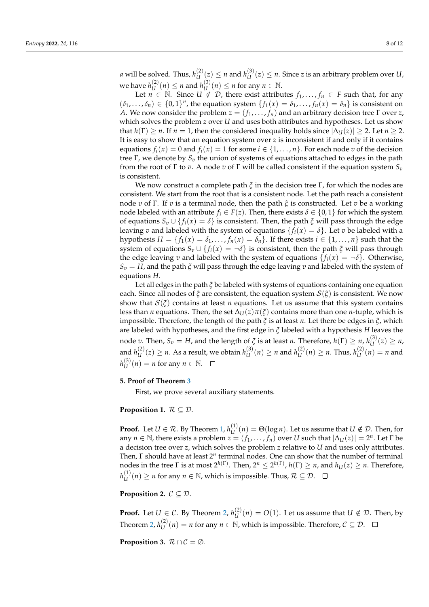*a* will be solved. Thus,  $h_{IJ}^{(2)}$  $\binom{2}{U}(z) \leq n$  and  $h^{(3)}(U)$  $U_U^{(3)}(z) \leq n$ . Since *z* is an arbitrary problem over *U*, we have  $h^{(2)}_{II}$  $U_U^{(2)}(n) \le n$  and  $h_U^{(3)}$  $\mathcal{U}^{(3)}(n) \leq n$  for any  $n \in \mathbb{N}$ .

Let *n* ∈ N. Since *U* ∉ *D*, there exist attributes  $f_1, \ldots, f_n$  ∈ *F* such that, for any  $(\delta_1, \ldots, \delta_n) \in \{0, 1\}^n$ , the equation system  $\{f_1(x) = \delta_1, \ldots, f_n(x) = \delta_n\}$  is consistent on *A*. We now consider the problem  $z = (f_1, \ldots, f_n)$  and an arbitrary decision tree  $\Gamma$  over  $z$ , which solves the problem *z* over *U* and uses both attributes and hypotheses. Let us show that  $h(\Gamma) \ge n$ . If  $n = 1$ , then the considered inequality holds since  $|\Delta_{U}(z)| \ge 2$ . Let  $n \ge 2$ . It is easy to show that an equation system over *z* is inconsistent if and only if it contains equations  $f_i(x) = 0$  and  $f_i(x) = 1$  for some  $i \in \{1, ..., n\}$ . For each node *v* of the decision tree Γ, we denote by *S<sup>v</sup>* the union of systems of equations attached to edges in the path from the root of Γ to *v*. A node *v* of Γ will be called consistent if the equation system *S<sup>v</sup>* is consistent.

We now construct a complete path  $\zeta$  in the decision tree  $\Gamma$ , for which the nodes are consistent. We start from the root that is a consistent node. Let the path reach a consistent node *v* of Γ. If *v* is a terminal node, then the path *ξ* is constructed. Let *v* be a working node labeled with an attribute  $f_i \in F(z)$ . Then, there exists  $\delta \in \{0,1\}$  for which the system of equations  $S_v \cup \{f_i(x) = \delta\}$  is consistent. Then, the path  $\zeta$  will pass through the edge leaving *v* and labeled with the system of equations  $\{f_i(x) = \delta\}$ . Let *v* be labeled with a hypothesis  $H = \{f_1(x) = \delta_1, \ldots, f_n(x) = \delta_n\}$ . If there exists  $i \in \{1, \ldots, n\}$  such that the system of equations  $S_v \cup \{f_i(x) = \neg \delta\}$  is consistent, then the path  $\zeta$  will pass through the edge leaving *v* and labeled with the system of equations  $\{f_i(x) = -\delta\}$ . Otherwise, *S<sup>v</sup>* = *H*, and the path *ξ* will pass through the edge leaving *v* and labeled with the system of equations *H*.

Let all edges in the path *ξ* be labeled with systems of equations containing one equation each. Since all nodes of *ξ* are consistent, the equation system S(*ξ*) is consistent. We now show that  $S(\xi)$  contains at least *n* equations. Let us assume that this system contains less than *n* equations. Then, the set  $\Delta_U(z)\pi(\xi)$  contains more than one *n*-tuple, which is impossible. Therefore, the length of the path *ξ* is at least *n*. Let there be edges in *ξ*, which are labeled with hypotheses, and the first edge in *ξ* labeled with a hypothesis *H* leaves the node  $v.$  Then,  $S_v = H$ , and the length of  $\xi$  is at least  $n.$  Therefore,  $h(\Gamma) \geq n$ ,  $h_{U}^{(3)}$  $U^{(3)}(z) \geq n$ , and  $h_{II}^{(2)}$  $U^{(2)}_U(z) \geq n$ . As a result, we obtain  $h^{(3)}_U$  $u^{(3)}(n) \ge n$  and  $h^{(2)}(L)$  $U_U^{(2)}(n) \ge n$ . Thus,  $h_U^{(2)}$  $U_{U}^{(2)}(n) = n$  and  $h_{1I}^{(3)}$  $U^{(3)}(n) = n$  for any  $n \in \mathbb{N}$ .

## <span id="page-7-0"></span>**5. Proof of Theorem [3](#page-3-1)**

First, we prove several auxiliary statements.

## <span id="page-7-1"></span>**Proposition 1.**  $\mathcal{R} \subseteq \mathcal{D}$ .

**Proof.** Let  $U \in \mathcal{R}$ . By Theorem [1,](#page-3-0)  $h_{II}^{(1)}$  $U^{(1)}(n) = \Theta(\log n)$ . Let us assume that  $U \notin \mathcal{D}$ . Then, for any  $n \in \mathbb{N}$ , there exists a problem  $z = (f_1, \ldots, f_n)$  over *U* such that  $|\Delta_U(z)| = 2^n$ . Let  $\Gamma$  be a decision tree over *z*, which solves the problem *z* relative to *U* and uses only attributes. Then, Γ should have at least 2<sup>n</sup> terminal nodes. One can show that the number of terminal  $n$ odes in the tree Γ is at most  $2^{h(\Gamma)}.$  Then,  $2^n \leq 2^{h(\Gamma)}$ ,  $h(\Gamma) \geq n$ , and  $h_U(z) \geq n.$  Therefore,  $h_{1I}^{(1)}$  $U^{(1)}_U(n) \ge n$  for any  $n \in \mathbb{N}$ , which is impossible. Thus,  $\mathcal{R} \subseteq \mathcal{D}$ .

<span id="page-7-2"></span>**Proposition 2.**  $C \subset \mathcal{D}$ .

**Proof.** Let  $U \in \mathcal{C}$ . By Theorem [2,](#page-3-2)  $h_{II}^{(2)}$  $U_U^{(2)}(n) = O(1)$ . Let us assume that  $U \notin \mathcal{D}$ . Then, by Theorem [2,](#page-3-2)  $h_{II}^{(2)}$  $U^{(2)}(n) = n$  for any  $n \in \mathbb{N}$ , which is impossible. Therefore,  $C \subseteq \mathcal{D}$ .

<span id="page-7-3"></span>**Proposition 3.**  $\mathcal{R} \cap \mathcal{C} = \emptyset$ *.*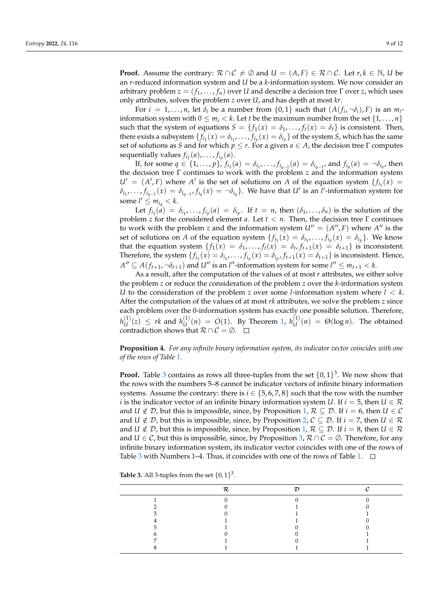**Proof.** Assume the contrary:  $\mathcal{R} \cap \mathcal{C} \neq \emptyset$  and  $U = (A, F) \in \mathcal{R} \cap \mathcal{C}$ . Let  $r, k \in \mathbb{N}$ , *U* be an *r*-reduced information system and *U* be a *k*-information system. We now consider an arbitrary problem  $z = (f_1, \ldots, f_n)$  over *U* and describe a decision tree  $\Gamma$  over *z*, which uses only attributes, solves the problem *z* over *U*, and has depth at most *kr*.

For  $i = 1, ..., n$ , let  $\delta_i$  be a number from  $\{0, 1\}$  such that  $(A(f_i, \neg \delta_i), F)$  is an  $m_i$ information system with  $0 \le m_i < k$ . Let *t* be the maximum number from the set  $\{1, \ldots, n\}$ such that the system of equations  $S = \{f_1(x) = \delta_1, \ldots, f_t(x) = \delta_t\}$  is consistent. Then, there exists a subsystem  $\{f_{i_1}(x) = \delta_{i_1}, \ldots, f_{i_p}(x) = \delta_{i_p}\}$  of the system *S*, which has the same set of solutions as *S* and for which *p* ≤ *r*. For a given *a* ∈ *A*, the decision tree Γ computes sequentially values  $f_{i_1}(a)$ , . . . ,  $f_{i_p}(a)$ .

If, for some  $q \in \{1, ..., p\}$ ,  $f_{i_1}(a) = \delta_{i_1}, ..., f_{i_{q-1}}(a) = \delta_{i_{q-1}}$ , and  $f_{i_q}(a) = \neg \delta_{i_q}$ , then the decision tree Γ continues to work with the problem *z* and the information system  $U' = (A', F)$  where *A'* is the set of solutions on *A* of the equation system  ${f_i(x)}$  $\delta_{i_1},\ldots,f_{i_{q-1}}(x)=\delta_{i_{q-1}},f_{i_q}(x)=\neg\delta_{i_q}$ . We have that  $U'$  is an  $\tilde{l}'$ -information system for some  $l' \leq m_{i_q} < k$ .

Let  $f_{i_1}(a) = \delta_{i_1}, \ldots, f_{i_p}(a) = \delta_{i_p}$ . If  $t = n$ , then  $(\delta_1, \ldots, \delta_n)$  is the solution of the problem *z* for the considered element *a*. Let *t* < *n*. Then, the decision tree Γ continues to work with the problem *z* and the information system  $U'' = (A'', F)$  where  $A''$  is the set of solutions on *A* of the equation system  $\{f_{i_1}(x) = \delta_{i_1}, \ldots, f_{i_p}(x) = \delta_{i_p}\}$ . We know that the equation system  $\{f_1(x) = \delta_1, \ldots, f_t(x) = \delta_t, f_{t+1}(x) = \delta_{t+1}\}\)$  is inconsistent. Therefore, the system  $\{f_{i_1}(x) = \delta_{i_1}, \dots, f_{i_p}(x) = \delta_{i_p}, f_{t+1}(x) = \delta_{t+1}\}$  is inconsistent. Hence,  $A'' \subseteq A(f_{t+1}, \neg \delta_{t+1})$  and *U*<sup>*n*</sup> is an *l*<sup>*n*</sup>-information system for some  $l'' \leq m_{t+1} < k$ .

As a result, after the computation of the values of at most *r* attributes, we either solve the problem *z* or reduce the consideration of the problem *z* over the *k*-information system *U* to the consideration of the problem *z* over some *l*-information system where *l* < *k*. After the computation of the values of at most *rk* attributes, we solve the problem *z* since each problem over the 0-information system has exactly one possible solution. Therefore,  $h_{1I}^{(1)}$  $U^{(1)}(z) \leq rk$  and  $h^{(1)}(U)$  $U_U^{(1)}(n) = O(1)$ . By Theorem [1,](#page-3-0)  $h_U^{(1)}$  $U^{(1)}(n) = \Theta(\log n)$ . The obtained contradiction shows that  $\mathcal{R} \cap \mathcal{C} = \emptyset$ .  $\Box$ 

<span id="page-8-1"></span>**Proposition 4.** *For any infinite binary information system, its indicator vector coincides with one of the rows of Table [1.](#page-4-1)*

**Proof.** Table [3](#page-8-0) contains as rows all three-tuples from the set  $\{0,1\}^3$ . We now show that the rows with the numbers 5–8 cannot be indicator vectors of infinite binary information systems. Assume the contrary: there is  $i \in \{5, 6, 7, 8\}$  such that the row with the number *i* is the indicator vector of an infinite binary information system *U*. If  $i = 5$ , then  $U \in \mathcal{R}$ and *U*  $\notin \mathcal{D}$ , but this is impossible, since, by Proposition [1,](#page-7-1)  $\mathcal{R} \subseteq \mathcal{D}$ . If  $i = 6$ , then *U*  $\in \mathcal{C}$ and *U*  $\notin \mathcal{D}$ , but this is impossible, since, by Proposition [2,](#page-7-2)  $\mathcal{C} \subseteq \mathcal{D}$ . If  $i = 7$ , then  $U \in \mathcal{R}$ and *U*  $\notin$  *D*, but this is impossible, since, by Proposition [1,](#page-7-1)  $\mathcal{R} \subseteq \mathcal{D}$ . If  $i = 8$ , then *U*  $\in \mathcal{R}$ and *U* ∈ C, but this is impossible, since, by Proposition [3,](#page-7-3)  $\mathcal{R} \cap \mathcal{C} = \emptyset$ . Therefore, for any infinite binary information system, its indicator vector coincides with one of the rows of Table [3](#page-8-0) with Numbers 1–4. Thus, it coincides with one of the rows of Table [1.](#page-4-1)  $\Box$ 

<span id="page-8-0"></span>

| <b>Table 3.</b> All 3-tuples from the set $\{0,1\}^3$ . |  |  |  |  |  |
|---------------------------------------------------------|--|--|--|--|--|
|---------------------------------------------------------|--|--|--|--|--|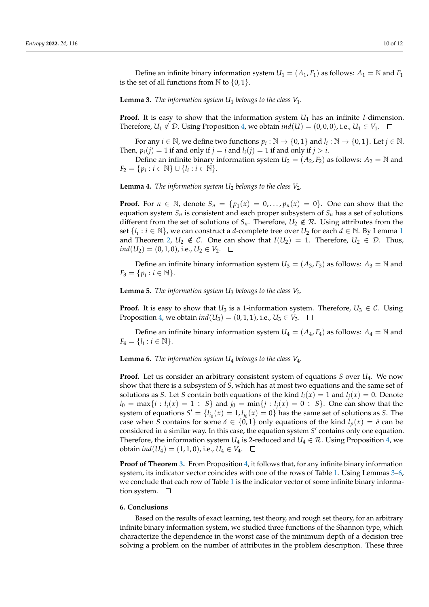<span id="page-9-1"></span>**Lemma 3.** *The information system U*<sup>1</sup> *belongs to the class V*1*.*

**Proof.** It is easy to show that the information system *U*<sup>1</sup> has an infinite *I*-dimension. Therefore,  $U_1 \notin \mathcal{D}$ . Using Proposition [4,](#page-8-1) we obtain  $\text{ind}(U) = (0, 0, 0)$ , i.e.,  $U_1 \in V_1$ .

For any  $i \in \mathbb{N}$ , we define two functions  $p_i : \mathbb{N} \to \{0, 1\}$  and  $l_i : \mathbb{N} \to \{0, 1\}$ . Let  $j \in \mathbb{N}$ . Then,  $p_i(j) = 1$  if and only if  $j = i$  and  $l_i(j) = 1$  if and only if  $j > i$ .

Define an infinite binary information system  $U_2 = (A_2, F_2)$  as follows:  $A_2 = \mathbb{N}$  and  $F_2 = \{p_i : i \in \mathbb{N}\} \cup \{l_i : i \in \mathbb{N}\}.$ 

**Lemma 4.** *The information system*  $U_2$  *belongs to the class*  $V_2$ *.* 

**Proof.** For  $n \in \mathbb{N}$ , denote  $S_n = \{p_1(x) = 0, \ldots, p_n(x) = 0\}$ . One can show that the equation system  $S_n$  is consistent and each proper subsystem of  $S_n$  has a set of solutions different from the set of solutions of  $S_n$ . Therefore,  $U_2 \notin \mathcal{R}$ . Using attributes from the set  $\{l_i : i \in \mathbb{N}\}$ , we can construct a *d*-complete tree over  $U_2$  for each  $d \in \mathbb{N}$ . By Lemma [1](#page-4-3) and Theorem [2,](#page-3-2)  $U_2 \notin \mathcal{C}$ . One can show that  $I(U_2) = 1$ . Therefore,  $U_2 \in \mathcal{D}$ . Thus, *ind*(*U*<sub>2</sub>) = (0, 1, 0), i.e., *U*<sub>2</sub> ∈ *V*<sub>2</sub>. □

Define an infinite binary information system  $U_3 = (A_3, F_3)$  as follows:  $A_3 = \mathbb{N}$  and  $F_3 = \{p_i : i \in \mathbb{N}\}.$ 

**Lemma 5.** *The information system U*<sup>3</sup> *belongs to the class V*3*.*

**Proof.** It is easy to show that *U*<sub>3</sub> is a 1-information system. Therefore,  $U_3 \in \mathcal{C}$ . Using Proposition [4,](#page-8-1) we obtain  $ind(U_3) = (0, 1, 1)$ , i.e.,  $U_3 \in V_3$ .  $\Box$ 

Define an infinite binary information system  $U_4 = (A_4, F_4)$  as follows:  $A_4 = \mathbb{N}$  and  $F_4 = \{l_i : i \in \mathbb{N}\}.$ 

<span id="page-9-2"></span>**Lemma 6.** *The information system U*<sup>4</sup> *belongs to the class V*4*.*

**Proof.** Let us consider an arbitrary consistent system of equations *S* over *U*4. We now show that there is a subsystem of *S*, which has at most two equations and the same set of solutions as *S*. Let *S* contain both equations of the kind  $l_i(x) = 1$  and  $l_i(x) = 0$ . Denote *i*<sup>0</sup> = max{*i* : *l*<sub>*i*</sub>(*x*) = 1 ∈ *S*} and *j*<sup>0</sup> = min{*j* : *l*<sub>*j*</sub>(*x*) = 0 ∈ *S*}. One can show that the system of equations  $S' = \{l_{i_0}(x) = 1, l_{j_0}(x) = 0\}$  has the same set of solutions as *S*. The case when *S* contains for some  $\delta \in \{0,1\}$  only equations of the kind  $l_p(x) = \delta$  can be considered in a similar way. In this case, the equation system S' contains only one equation. Therefore, the information system *U*<sub>4</sub> is 2-reduced and *U*<sub>4</sub>  $\in \mathcal{R}$ . Using Proposition [4,](#page-8-1) we obtain *ind*(*U*<sub>4</sub>) = (1, 1, 0), i.e., *U*<sub>4</sub> ∈ *V*<sub>4</sub>. □

**Proof of Theorem [3.](#page-3-1)** From Proposition [4,](#page-8-1) it follows that, for any infinite binary information system, its indicator vector coincides with one of the rows of Table [1.](#page-4-1) Using Lemmas [3](#page-9-1)[–6,](#page-9-2) we conclude that each row of Table [1](#page-4-1) is the indicator vector of some infinite binary information system.  $\square$ 

### <span id="page-9-0"></span>**6. Conclusions**

Based on the results of exact learning, test theory, and rough set theory, for an arbitrary infinite binary information system, we studied three functions of the Shannon type, which characterize the dependence in the worst case of the minimum depth of a decision tree solving a problem on the number of attributes in the problem description. These three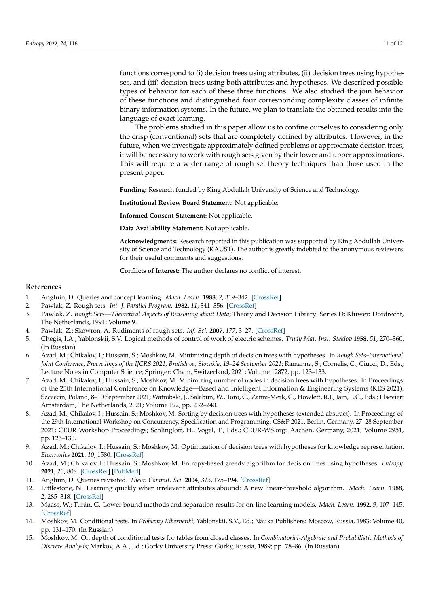functions correspond to (i) decision trees using attributes, (ii) decision trees using hypotheses, and (iii) decision trees using both attributes and hypotheses. We described possible types of behavior for each of these three functions. We also studied the join behavior of these functions and distinguished four corresponding complexity classes of infinite binary information systems. In the future, we plan to translate the obtained results into the language of exact learning.

The problems studied in this paper allow us to confine ourselves to considering only the crisp (conventional) sets that are completely defined by attributes. However, in the future, when we investigate approximately defined problems or approximate decision trees, it will be necessary to work with rough sets given by their lower and upper approximations. This will require a wider range of rough set theory techniques than those used in the present paper.

**Funding:** Research funded by King Abdullah University of Science and Technology.

**Institutional Review Board Statement:** Not applicable.

**Informed Consent Statement:** Not applicable.

**Data Availability Statement:** Not applicable.

**Acknowledgments:** Research reported in this publication was supported by King Abdullah University of Science and Technology (KAUST). The author is greatly indebted to the anonymous reviewers for their useful comments and suggestions.

**Conflicts of Interest:** The author declares no conflict of interest.

## **References**

- <span id="page-10-0"></span>1. Angluin, D. Queries and concept learning. *Mach. Learn.* **1988**, *2*, 319–342. [\[CrossRef\]](http://doi.org/10.1007/BF00116828)
- <span id="page-10-1"></span>2. Pawlak, Z. Rough sets. *Int. J. Parallel Program.* **1982**, *11*, 341–356. [\[CrossRef\]](http://dx.doi.org/10.1007/BF01001956)
- 3. Pawlak, Z. *Rough Sets—Theoretical Aspects of Reasoning about Data*; Theory and Decision Library: Series D; Kluwer: Dordrecht, The Netherlands, 1991; Volume 9.
- <span id="page-10-2"></span>4. Pawlak, Z.; Skowron, A. Rudiments of rough sets. *Inf. Sci.* **2007**, *177*, 3–27. [\[CrossRef\]](http://dx.doi.org/10.1016/j.ins.2006.06.003)
- <span id="page-10-3"></span>5. Chegis, I.A.; Yablonskii, S.V. Logical methods of control of work of electric schemes. *Trudy Mat. Inst. Steklov* **1958**, *51*, 270–360. (In Russian)
- <span id="page-10-4"></span>6. Azad, M.; Chikalov, I.; Hussain, S.; Moshkov, M. Minimizing depth of decision trees with hypotheses. In *Rough Sets–International Joint Conference, Proceedings of the IJCRS 2021, Bratislava, Slovakia, 19–24 September 2021*; Ramanna, S., Cornelis, C., Ciucci, D., Eds.; Lecture Notes in Computer Science; Springer: Cham, Switzerland, 2021; Volume 12872, pp. 123–133.
- 7. Azad, M.; Chikalov, I.; Hussain, S.; Moshkov, M. Minimizing number of nodes in decision trees with hypotheses. In Proceedings of the 25th International Conference on Knowledge—Based and Intelligent Information & Engineering Systems (KES 2021), Szczecin, Poland, 8–10 September 2021; Watrobski, J., Salabun, W., Toro, C., Zanni-Merk, C., Howlett, R.J., Jain, L.C., Eds.; Elsevier: Amsterdam, The Netherlands, 2021; Volume 192, pp. 232–240.
- 8. Azad, M.; Chikalov, I.; Hussain, S.; Moshkov, M. Sorting by decision trees with hypotheses (extended abstract). In Proceedings of the 29th International Workshop on Concurrency, Specification and Programming, CS&P 2021, Berlin, Germany, 27–28 September 2021; CEUR Workshop Proceedings; Schlingloff, H., Vogel, T., Eds.; CEUR-WS.org: Aachen, Germany, 2021; Volume 2951, pp. 126–130.
- 9. Azad, M.; Chikalov, I.; Hussain, S.; Moshkov, M. Optimization of decision trees with hypotheses for knowledge representation. *Electronics* **2021**, *10*, 1580. [\[CrossRef\]](http://dx.doi.org/10.3390/electronics10131580)
- <span id="page-10-5"></span>10. Azad, M.; Chikalov, I.; Hussain, S.; Moshkov, M. Entropy-based greedy algorithm for decision trees using hypotheses. *Entropy* **2021**, *23*, 808. [\[CrossRef\]](http://dx.doi.org/10.3390/e23070808) [\[PubMed\]](http://www.ncbi.nlm.nih.gov/pubmed/34201971)
- <span id="page-10-6"></span>11. Angluin, D. Queries revisited. *Theor. Comput. Sci.* **2004**, *313*, 175–194. [\[CrossRef\]](http://dx.doi.org/10.1016/j.tcs.2003.11.004)
- <span id="page-10-8"></span>12. Littlestone, N. Learning quickly when irrelevant attributes abound: A new linear-threshold algorithm. *Mach. Learn.* **1988**, *2*, 285–318. [\[CrossRef\]](http://dx.doi.org/10.1007/BF00116827)
- <span id="page-10-9"></span>13. Maass, W.; Turán, G. Lower bound methods and separation results for on-line learning models. *Mach. Learn.* **1992**, *9*, 107–145. [\[CrossRef\]](http://dx.doi.org/10.1007/BF00992674)
- 14. Moshkov, M. Conditional tests. In *Problemy Kibernetiki*; Yablonskii, S.V., Ed.; Nauka Publishers: Moscow, Russia, 1983; Volume 40, pp. 131–170. (In Russian)
- <span id="page-10-7"></span>15. Moshkov, M. On depth of conditional tests for tables from closed classes. In *Combinatorial-Algebraic and Probabilistic Methods of Discrete Analysis*; Markov, A.A., Ed.; Gorky University Press: Gorky, Russia, 1989; pp. 78–86. (In Russian)